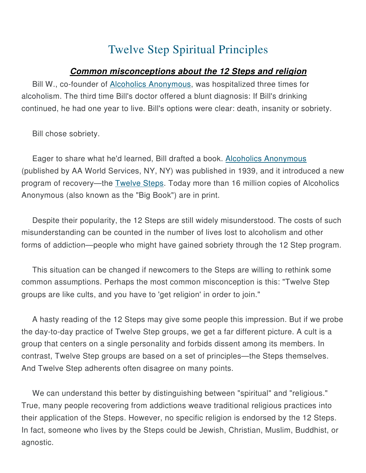## Twelve Step Spiritual Principles

## **Common misconceptions about the 12 Steps and religion**

Bill W., co-founder of **Alcoholics Anonymous**, was hospitalized three times for alcoholism. The third time Bill's doctor offered a blunt diagnosis: If Bill's drinking continued, he had one year to live. Bill's options were clear: death, insanity or sobriety.

Bill chose sobriety.

Eager to share what he'd learned, Bill drafted a book. Alcoholics Anonymous (published by AA World Services, NY, NY) was published in 1939, and it introduced a new program of recovery—the Twelve Steps. Today more than 16 million copies of Alcoholics Anonymous (also known as the "Big Book") are in print.

Despite their popularity, the 12 Steps are still widely misunderstood. The costs of such misunderstanding can be counted in the number of lives lost to alcoholism and other forms of addiction—people who might have gained sobriety through the 12 Step program.

This situation can be changed if newcomers to the Steps are willing to rethink some common assumptions. Perhaps the most common misconception is this: "Twelve Step groups are like cults, and you have to 'get religion' in order to join."

A hasty reading of the 12 Steps may give some people this impression. But if we probe the day-to-day practice of Twelve Step groups, we get a far different picture. A cult is a group that centers on a single personality and forbids dissent among its members. In contrast, Twelve Step groups are based on a set of principles—the Steps themselves. And Twelve Step adherents often disagree on many points.

We can understand this better by distinguishing between "spiritual" and "religious." True, many people recovering from addictions weave traditional religious practices into their application of the Steps. However, no specific religion is endorsed by the 12 Steps. In fact, someone who lives by the Steps could be Jewish, Christian, Muslim, Buddhist, or agnostic.